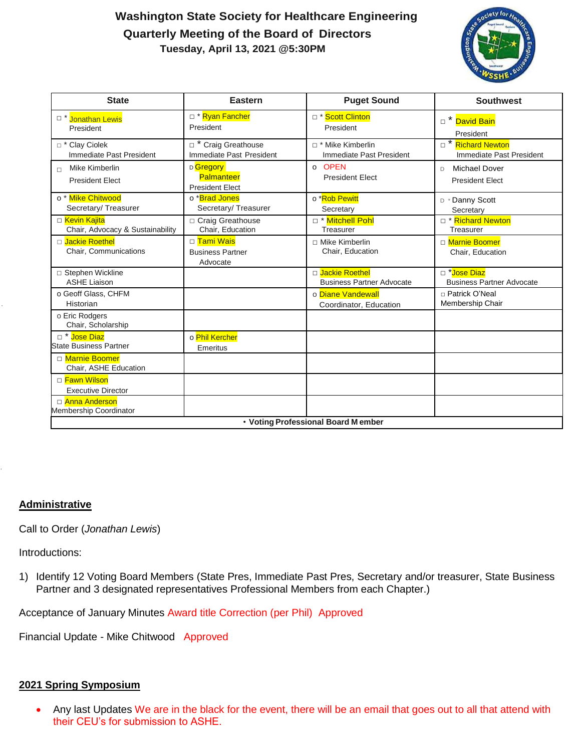# **Washington State Society for Healthcare Engineering Quarterly Meeting of the Board of Directors Tuesday, April 13, 2021 @5:30PM**



| <b>State</b>                                        | <b>Eastern</b>                                              | <b>Puget Sound</b>                                   | <b>Southwest</b>                                             |  |
|-----------------------------------------------------|-------------------------------------------------------------|------------------------------------------------------|--------------------------------------------------------------|--|
| □ * Jonathan Lewis<br>President                     | □ * Ryan Fancher<br>President                               | D <sup>*</sup> Scott Clinton<br>President            | D <sup>*</sup> David Bain<br>President                       |  |
| □ * Clay Ciolek<br>Immediate Past President         | T <sup>*</sup> Craig Greathouse<br>Immediate Past President | □ * Mike Kimberlin<br>Immediate Past President       | Richard Newton<br>Immediate Past President                   |  |
| Mike Kimberlin<br>$\Box$<br><b>President Elect</b>  | D Gregory<br><b>Palmanteer</b><br><b>President Elect</b>    | o OPEN<br><b>President Elect</b>                     | <b>Michael Dover</b><br>D.<br><b>President Elect</b>         |  |
| o <sup>*</sup> Mike Chitwood<br>Secretary/Treasurer | o *Brad Jones<br>Secretary/ Treasurer                       | o *Rob Pewitt<br>Secretary                           | D * Danny Scott<br>Secretary                                 |  |
| □ Kevin Kajita<br>Chair, Advocacy & Sustainability  | □ Craig Greathouse<br>Chair, Education                      | □ * Mitchell Pohl<br>Treasurer                       | Richard Newton<br>Treasurer                                  |  |
| □ Jackie Roethel<br>Chair, Communications           | □ Tami Wais<br><b>Business Partner</b><br>Advocate          | □ Mike Kimberlin<br>Chair, Education                 | D Marnie Boomer<br>Chair, Education                          |  |
| □ Stephen Wickline<br><b>ASHE Liaison</b>           |                                                             | □ Jackie Roethel<br><b>Business Partner Advocate</b> | D <sup>*</sup> Jose Diaz<br><b>Business Partner Advocate</b> |  |
| o Geoff Glass, CHFM<br><b>Historian</b>             |                                                             | o Diane Vandewall<br>Coordinator, Education          | □ Patrick O'Neal<br>Membership Chair                         |  |
| o Eric Rodgers<br>Chair, Scholarship                |                                                             |                                                      |                                                              |  |
| □ * Jose Diaz<br><b>State Business Partner</b>      | o Phil Kercher<br>Emeritus                                  |                                                      |                                                              |  |
| □ Marnie Boomer<br>Chair, ASHE Education            |                                                             |                                                      |                                                              |  |
| □ Fawn Wilson<br><b>Executive Director</b>          |                                                             |                                                      |                                                              |  |
| □ Anna Anderson<br>Membership Coordinator           |                                                             |                                                      |                                                              |  |
|                                                     | • Voting Professional Board Member                          |                                                      |                                                              |  |

# **Administrative**

Call to Order (*Jonathan Lewis*)

Introductions:

1) Identify 12 Voting Board Members (State Pres, Immediate Past Pres, Secretary and/or treasurer, State Business Partner and 3 designated representatives Professional Members from each Chapter.)

Acceptance of January Minutes Award title Correction (per Phil) Approved

Financial Update - Mike Chitwood Approved

#### **2021 Spring Symposium**

 Any last Updates We are in the black for the event, there will be an email that goes out to all that attend with their CEU's for submission to ASHE.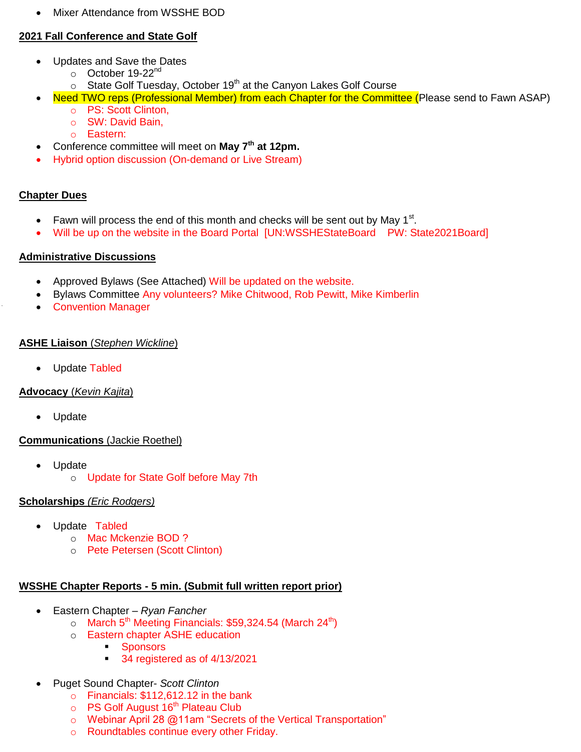• Mixer Attendance from WSSHE BOD

## **2021 Fall Conference and State Golf**

- Updates and Save the Dates
	- $\circ$  October 19-22<sup>nd</sup>
	- $\circ$  State Golf Tuesday, October 19<sup>th</sup> at the Canyon Lakes Golf Course
- Need TWO reps (Professional Member) from each Chapter for the Committee (Please send to Fawn ASAP)
	- o PS: Scott Clinton,
	- o SW: David Bain,
	- o Eastern:
- Conference committee will meet on **May 7th at 12pm.**
- Hybrid option discussion (On-demand or Live Stream)

# **Chapter Dues**

- Fawn will process the end of this month and checks will be sent out by May  $1<sup>st</sup>$ .
- Will be up on the website in the Board Portal [UN:WSSHEStateBoard PW: State2021Board]

#### **Administrative Discussions**

- Approved Bylaws (See Attached) Will be updated on the website.
- Bylaws Committee Any volunteers? Mike Chitwood, Rob Pewitt, Mike Kimberlin
- Convention Manager

# **ASHE Liaison** (*Stephen Wickline*)

Update Tabled

# **Advocacy** (*Kevin Kajita*)

Update

# **Communications** (Jackie Roethel)

- Update
	- o Update for State Golf before May 7th

#### **Scholarships** *(Eric Rodgers)*

- Update Tabled
	- o Mac Mckenzie BOD ?
	- o Pete Petersen (Scott Clinton)

#### **WSSHE Chapter Reports - 5 min. (Submit full written report prior)**

- Eastern Chapter *Ryan Fancher*
	- o March  $5<sup>th</sup>$  Meeting Financials: \$59,324.54 (March 24<sup>th</sup>)
	- o Eastern chapter ASHE education
		- **Sponsors**
		- <sup>3</sup> 34 registered as of 4/13/2021
- Puget Sound Chapter- *Scott Clinton*
	- $\circ$  Financials: \$112,612.12 in the bank
	- $\circ$  PS Golf August 16<sup>th</sup> Plateau Club
	- o Webinar April 28 @11am "Secrets of the Vertical Transportation"
	- o Roundtables continue every other Friday.